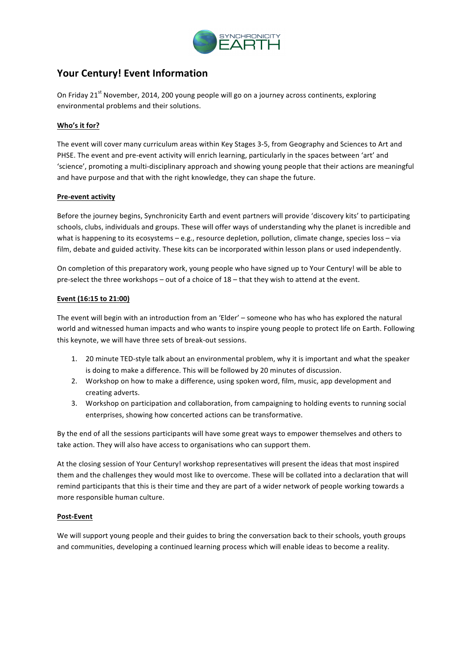

# **Your Century! Event Information**

On Friday 21<sup>st</sup> November, 2014, 200 young people will go on a journey across continents, exploring environmental problems and their solutions.

# **Who's it for?**

The event will cover many curriculum areas within Key Stages 3-5, from Geography and Sciences to Art and PHSE. The event and pre-event activity will enrich learning, particularly in the spaces between 'art' and 'science', promoting a multi-disciplinary approach and showing young people that their actions are meaningful and have purpose and that with the right knowledge, they can shape the future.

## **Pre-event activity**

Before the journey begins, Synchronicity Earth and event partners will provide 'discovery kits' to participating schools, clubs, individuals and groups. These will offer ways of understanding why the planet is incredible and what is happening to its ecosystems – e.g., resource depletion, pollution, climate change, species loss – via film, debate and guided activity. These kits can be incorporated within lesson plans or used independently.

On completion of this preparatory work, young people who have signed up to Your Century! will be able to pre-select the three workshops – out of a choice of 18 – that they wish to attend at the event.

# **Event** (16:15 to 21:00)

The event will begin with an introduction from an 'Elder' – someone who has who has explored the natural world and witnessed human impacts and who wants to inspire young people to protect life on Earth. Following this keynote, we will have three sets of break-out sessions.

- 1. 20 minute TED-style talk about an environmental problem, why it is important and what the speaker is doing to make a difference. This will be followed by 20 minutes of discussion.
- 2. Workshop on how to make a difference, using spoken word, film, music, app development and creating adverts.
- 3. Workshop on participation and collaboration, from campaigning to holding events to running social enterprises, showing how concerted actions can be transformative.

By the end of all the sessions participants will have some great ways to empower themselves and others to take action. They will also have access to organisations who can support them.

At the closing session of Your Century! workshop representatives will present the ideas that most inspired them and the challenges they would most like to overcome. These will be collated into a declaration that will remind participants that this is their time and they are part of a wider network of people working towards a more responsible human culture.

## **Post-Event**

We will support young people and their guides to bring the conversation back to their schools, youth groups and communities, developing a continued learning process which will enable ideas to become a reality.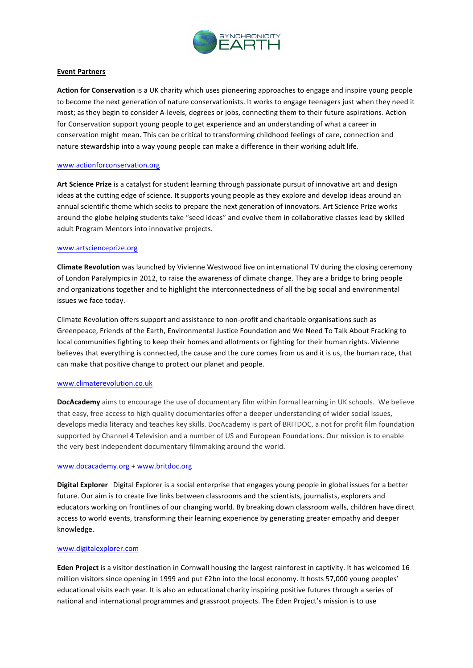

# **Event Partners**

Action for Conservation is a UK charity which uses pioneering approaches to engage and inspire young people to become the next generation of nature conservationists. It works to engage teenagers just when they need it most; as they begin to consider A-levels, degrees or jobs, connecting them to their future aspirations. Action for Conservation support young people to get experience and an understanding of what a career in conservation might mean. This can be critical to transforming childhood feelings of care, connection and nature stewardship into a way young people can make a difference in their working adult life.

### www.actionforconservation.org

Art Science Prize is a catalyst for student learning through passionate pursuit of innovative art and design ideas at the cutting edge of science. It supports young people as they explore and develop ideas around an annual scientific theme which seeks to prepare the next generation of innovators. Art Science Prize works around the globe helping students take "seed ideas" and evolve them in collaborative classes lead by skilled adult Program Mentors into innovative projects.

#### www.artscienceprize.org

**Climate Revolution** was launched by Vivienne Westwood live on international TV during the closing ceremony of London Paralympics in 2012, to raise the awareness of climate change. They are a bridge to bring people and organizations together and to highlight the interconnectedness of all the big social and environmental issues we face today.

Climate Revolution offers support and assistance to non-profit and charitable organisations such as Greenpeace, Friends of the Earth, Environmental Justice Foundation and We Need To Talk About Fracking to local communities fighting to keep their homes and allotments or fighting for their human rights. Vivienne believes that everything is connected, the cause and the cure comes from us and it is us, the human race, that can make that positive change to protect our planet and people.

#### www.climaterevolution.co.uk

**DocAcademy** aims to encourage the use of documentary film within formal learning in UK schools. We believe that easy, free access to high quality documentaries offer a deeper understanding of wider social issues, develops media literacy and teaches key skills. DocAcademy is part of BRITDOC, a not for profit film foundation supported by Channel 4 Television and a number of US and European Foundations. Our mission is to enable the very best independent documentary filmmaking around the world.

#### www.docacademy.org + www.britdoc.org

**Digital Explorer** Digital Explorer is a social enterprise that engages young people in global issues for a better future. Our aim is to create live links between classrooms and the scientists, journalists, explorers and educators working on frontlines of our changing world. By breaking down classroom walls, children have direct access to world events, transforming their learning experience by generating greater empathy and deeper knowledge.

#### www.digitalexplorer.com

Eden Project is a visitor destination in Cornwall housing the largest rainforest in captivity. It has welcomed 16 million visitors since opening in 1999 and put £2bn into the local economy. It hosts 57,000 young peoples' educational visits each year. It is also an educational charity inspiring positive futures through a series of national and international programmes and grassroot projects. The Eden Project's mission is to use